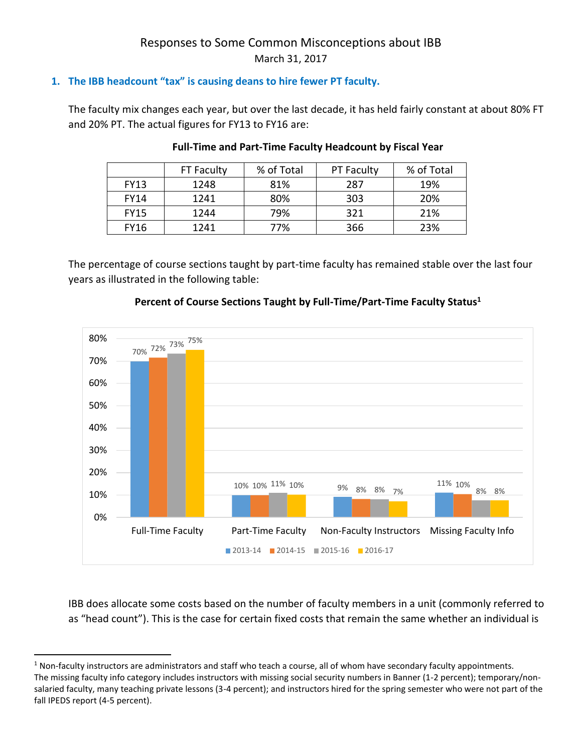# Responses to Some Common Misconceptions about IBB March 31, 2017

# **1. The IBB headcount "tax" is causing deans to hire fewer PT faculty.**

The faculty mix changes each year, but over the last decade, it has held fairly constant at about 80% FT and 20% PT. The actual figures for FY13 to FY16 are:

|             | FT Faculty | % of Total | <b>PT Faculty</b> | % of Total |
|-------------|------------|------------|-------------------|------------|
| <b>FY13</b> | 1248       | 81%        | 287               | 19%        |
| <b>FY14</b> | 1241       | 80%        | 303               | 20%        |
| <b>FY15</b> | 1244       | 79%        | 321               | 21%        |
| <b>FY16</b> | 1241       | 77%        | 366               | 23%        |

## **Full-Time and Part-Time Faculty Headcount by Fiscal Year**

The percentage of course sections taught by part-time faculty has remained stable over the last four years as illustrated in the following table:



## **Percent of Course Sections Taught by Full-Time/Part-Time Faculty Status<sup>1</sup>**

IBB does allocate some costs based on the number of faculty members in a unit (commonly referred to as "head count"). This is the case for certain fixed costs that remain the same whether an individual is

l

<sup>&</sup>lt;sup>1</sup> Non-faculty instructors are administrators and staff who teach a course, all of whom have secondary faculty appointments. The missing faculty info category includes instructors with missing social security numbers in Banner (1-2 percent); temporary/nonsalaried faculty, many teaching private lessons (3-4 percent); and instructors hired for the spring semester who were not part of the fall IPEDS report (4-5 percent).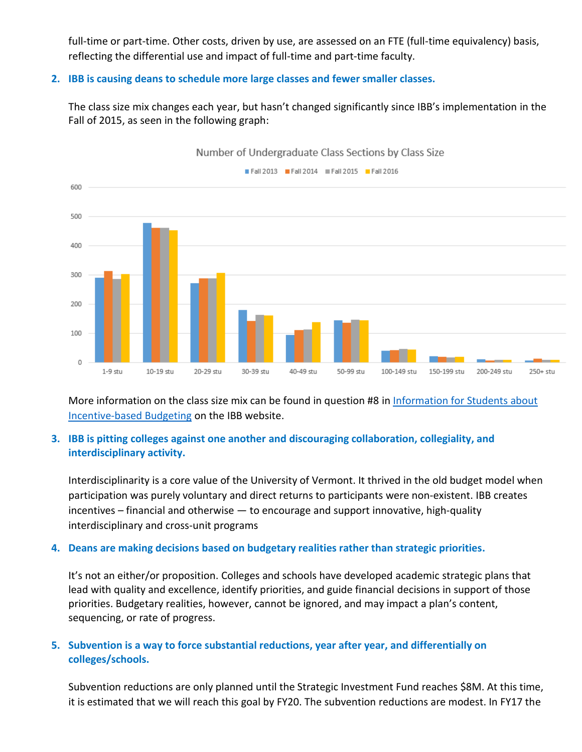full-time or part-time. Other costs, driven by use, are assessed on an FTE (full-time equivalency) basis, reflecting the differential use and impact of full-time and part-time faculty.

## **2. IBB is causing deans to schedule more large classes and fewer smaller classes.**

The class size mix changes each year, but hasn't changed significantly since IBB's implementation in the Fall of 2015, as seen in the following graph:



More information on the class size mix can be found in question #8 in Information for Students about [Incentive-based Budgeting](http://www.uvm.edu/provost/IBB/Student%20Questions%20about%20IBB.pdf) on the IBB website.

# **3. IBB is pitting colleges against one another and discouraging collaboration, collegiality, and interdisciplinary activity.**

Interdisciplinarity is a core value of the University of Vermont. It thrived in the old budget model when participation was purely voluntary and direct returns to participants were non-existent. IBB creates incentives – financial and otherwise — to encourage and support innovative, high-quality interdisciplinary and cross-unit programs

# **4. Deans are making decisions based on budgetary realities rather than strategic priorities.**

It's not an either/or proposition. Colleges and schools have developed academic strategic plans that lead with quality and excellence, identify priorities, and guide financial decisions in support of those priorities. Budgetary realities, however, cannot be ignored, and may impact a plan's content, sequencing, or rate of progress.

# **5. Subvention is a way to force substantial reductions, year after year, and differentially on colleges/schools.**

Subvention reductions are only planned until the Strategic Investment Fund reaches \$8M. At this time, it is estimated that we will reach this goal by FY20. The subvention reductions are modest. In FY17 the